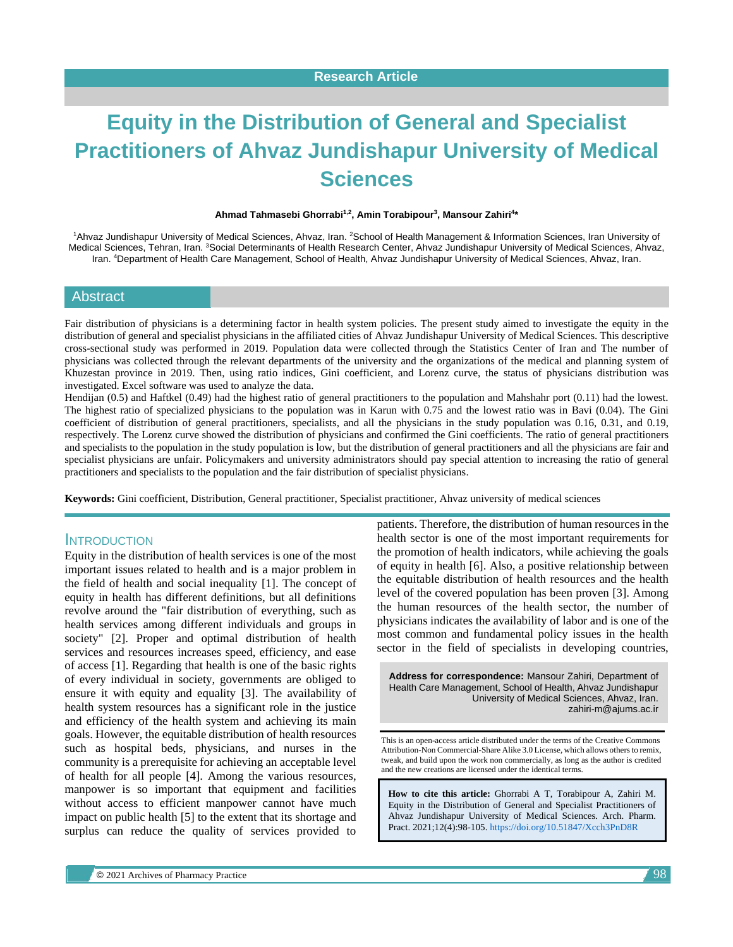# **Equity in the Distribution of General and Specialist Practitioners of Ahvaz Jundishapur University of Medical Sciences**

#### **Ahmad Tahmasebi Ghorrabi1,2 , Amin Torabipour<sup>3</sup> , Mansour Zahiri<sup>4</sup> \***

1Ahvaz Jundishapur University of Medical Sciences, Ahvaz, Iran. <sup>2</sup>School of Health Management & Information Sciences, Iran University of Medical Sciences, Tehran, Iran. <sup>3</sup>Social Determinants of Health Research Center, Ahvaz Jundishapur University of Medical Sciences, Ahvaz, Iran. <sup>4</sup>Department of Health Care Management, School of Health, Ahvaz Jundishapur University of Medical Sciences, Ahvaz, Iran.

#### Abstract

Fair distribution of physicians is a determining factor in health system policies. The present study aimed to investigate the equity in the distribution of general and specialist physicians in the affiliated cities of Ahvaz Jundishapur University of Medical Sciences. This descriptive cross-sectional study was performed in 2019. Population data were collected through the Statistics Center of Iran and The number of physicians was collected through the relevant departments of the university and the organizations of the medical and planning system of Khuzestan province in 2019. Then, using ratio indices, Gini coefficient, and Lorenz curve, the status of physicians distribution was investigated. Excel software was used to analyze the data.

Hendijan (0.5) and Haftkel (0.49) had the highest ratio of general practitioners to the population and Mahshahr port (0.11) had the lowest. The highest ratio of specialized physicians to the population was in Karun with 0.75 and the lowest ratio was in Bavi (0.04). The Gini coefficient of distribution of general practitioners, specialists, and all the physicians in the study population was 0.16, 0.31, and 0.19, respectively. The Lorenz curve showed the distribution of physicians and confirmed the Gini coefficients. The ratio of general practitioners and specialists to the population in the study population is low, but the distribution of general practitioners and all the physicians are fair and specialist physicians are unfair. Policymakers and university administrators should pay special attention to increasing the ratio of general practitioners and specialists to the population and the fair distribution of specialist physicians.

**Keywords:** Gini coefficient, Distribution, General practitioner, Specialist practitioner, Ahvaz university of medical sciences

#### **INTRODUCTION**

Equity in the distribution of health services is one of the most important issues related to health and is a major problem in the field of health and social inequality [1]. The concept of equity in health has different definitions, but all definitions revolve around the "fair distribution of everything, such as health services among different individuals and groups in society" [2]. Proper and optimal distribution of health services and resources increases speed, efficiency, and ease of access [1]. Regarding that health is one of the basic rights of every individual in society, governments are obliged to ensure it with equity and equality [3]. The availability of health system resources has a significant role in the justice and efficiency of the health system and achieving its main goals. However, the equitable distribution of health resources such as hospital beds, physicians, and nurses in the community is a prerequisite for achieving an acceptable level of health for all people [4]. Among the various resources, manpower is so important that equipment and facilities without access to efficient manpower cannot have much impact on public health [5] to the extent that its shortage and surplus can reduce the quality of services provided to

patients. Therefore, the distribution of human resources in the health sector is one of the most important requirements for the promotion of health indicators, while achieving the goals of equity in health [6]. Also, a positive relationship between the equitable distribution of health resources and the health level of the covered population has been proven [3]. Among the human resources of the health sector, the number of physicians indicates the availability of labor and is one of the most common and fundamental policy issues in the health sector in the field of specialists in developing countries,

**Address for correspondence:** Mansour Zahiri, Department of Health Care Management, School of Health, Ahvaz Jundishapur University of Medical Sciences, Ahvaz, Iran. zahiri-m@ajums.ac.ir

This is an open-access article distributed under the terms of the Creative Commons Attribution-Non Commercial-Share Alike 3.0 License, which allows others to remix, tweak, and build upon the work non commercially, as long as the author is credited and the new creations are licensed under the identical terms.

**How to cite this article:** Ghorrabi A T, Torabipour A, Zahiri M. Equity in the Distribution of General and Specialist Practitioners of Ahvaz Jundishapur University of Medical Sciences. Arch. Pharm. Pract. 2021;12(4):98-105. <https://doi.org/10.51847/Xcch3PnD8R>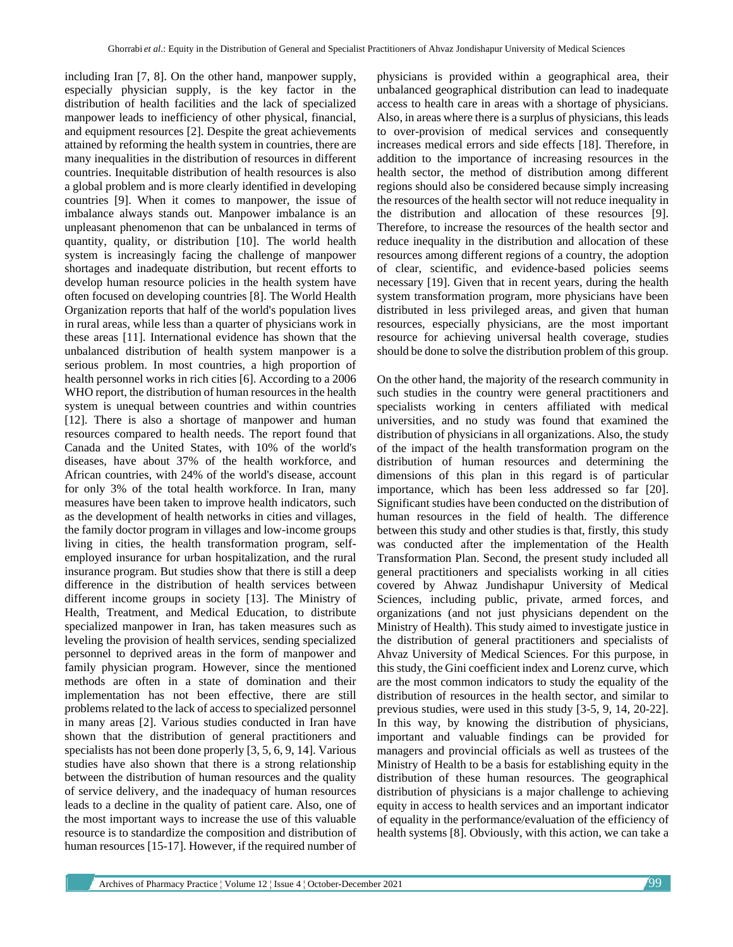including Iran [7, 8]. On the other hand, manpower supply, especially physician supply, is the key factor in the distribution of health facilities and the lack of specialized manpower leads to inefficiency of other physical, financial, and equipment resources [2]. Despite the great achievements attained by reforming the health system in countries, there are many inequalities in the distribution of resources in different countries. Inequitable distribution of health resources is also a global problem and is more clearly identified in developing countries [9]. When it comes to manpower, the issue of imbalance always stands out. Manpower imbalance is an unpleasant phenomenon that can be unbalanced in terms of quantity, quality, or distribution [10]. The world health system is increasingly facing the challenge of manpower shortages and inadequate distribution, but recent efforts to develop human resource policies in the health system have often focused on developing countries [8]. The World Health Organization reports that half of the world's population lives in rural areas, while less than a quarter of physicians work in these areas [11]. International evidence has shown that the unbalanced distribution of health system manpower is a serious problem. In most countries, a high proportion of health personnel works in rich cities [6]. According to a 2006 WHO report, the distribution of human resources in the health system is unequal between countries and within countries [12]. There is also a shortage of manpower and human resources compared to health needs. The report found that Canada and the United States, with 10% of the world's diseases, have about 37% of the health workforce, and African countries, with 24% of the world's disease, account for only 3% of the total health workforce. In Iran, many measures have been taken to improve health indicators, such as the development of health networks in cities and villages, the family doctor program in villages and low-income groups living in cities, the health transformation program, selfemployed insurance for urban hospitalization, and the rural insurance program. But studies show that there is still a deep difference in the distribution of health services between different income groups in society [13]. The Ministry of Health, Treatment, and Medical Education, to distribute specialized manpower in Iran, has taken measures such as leveling the provision of health services, sending specialized personnel to deprived areas in the form of manpower and family physician program. However, since the mentioned methods are often in a state of domination and their implementation has not been effective, there are still problems related to the lack of access to specialized personnel in many areas [2]. Various studies conducted in Iran have shown that the distribution of general practitioners and specialists has not been done properly [3, 5, 6, 9, 14]. Various studies have also shown that there is a strong relationship between the distribution of human resources and the quality of service delivery, and the inadequacy of human resources leads to a decline in the quality of patient care. Also, one of the most important ways to increase the use of this valuable resource is to standardize the composition and distribution of human resources [15-17]. However, if the required number of physicians is provided within a geographical area, their unbalanced geographical distribution can lead to inadequate access to health care in areas with a shortage of physicians. Also, in areas where there is a surplus of physicians, this leads to over-provision of medical services and consequently increases medical errors and side effects [18]. Therefore, in addition to the importance of increasing resources in the health sector, the method of distribution among different regions should also be considered because simply increasing the resources of the health sector will not reduce inequality in the distribution and allocation of these resources [9]. Therefore, to increase the resources of the health sector and reduce inequality in the distribution and allocation of these resources among different regions of a country, the adoption of clear, scientific, and evidence-based policies seems necessary [19]. Given that in recent years, during the health system transformation program, more physicians have been distributed in less privileged areas, and given that human resources, especially physicians, are the most important resource for achieving universal health coverage, studies should be done to solve the distribution problem of this group.

On the other hand, the majority of the research community in such studies in the country were general practitioners and specialists working in centers affiliated with medical universities, and no study was found that examined the distribution of physicians in all organizations. Also, the study of the impact of the health transformation program on the distribution of human resources and determining the dimensions of this plan in this regard is of particular importance, which has been less addressed so far [20]. Significant studies have been conducted on the distribution of human resources in the field of health. The difference between this study and other studies is that, firstly, this study was conducted after the implementation of the Health Transformation Plan. Second, the present study included all general practitioners and specialists working in all cities covered by Ahwaz Jundishapur University of Medical Sciences, including public, private, armed forces, and organizations (and not just physicians dependent on the Ministry of Health). This study aimed to investigate justice in the distribution of general practitioners and specialists of Ahvaz University of Medical Sciences. For this purpose, in this study, the Gini coefficient index and Lorenz curve, which are the most common indicators to study the equality of the distribution of resources in the health sector, and similar to previous studies, were used in this study [3-5, 9, 14, 20-22]. In this way, by knowing the distribution of physicians, important and valuable findings can be provided for managers and provincial officials as well as trustees of the Ministry of Health to be a basis for establishing equity in the distribution of these human resources. The geographical distribution of physicians is a major challenge to achieving equity in access to health services and an important indicator of equality in the performance/evaluation of the efficiency of health systems [8]. Obviously, with this action, we can take a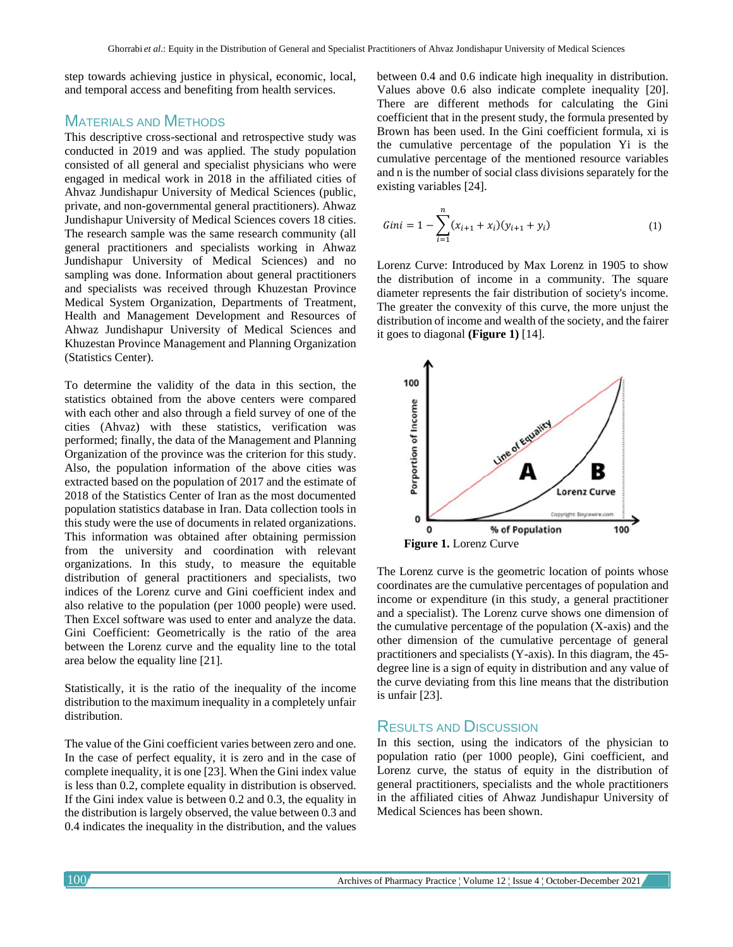step towards achieving justice in physical, economic, local, and temporal access and benefiting from health services.

## MATERIALS AND METHODS

This descriptive cross-sectional and retrospective study was conducted in 2019 and was applied. The study population consisted of all general and specialist physicians who were engaged in medical work in 2018 in the affiliated cities of Ahvaz Jundishapur University of Medical Sciences (public, private, and non-governmental general practitioners). Ahwaz Jundishapur University of Medical Sciences covers 18 cities. The research sample was the same research community (all general practitioners and specialists working in Ahwaz Jundishapur University of Medical Sciences) and no sampling was done. Information about general practitioners and specialists was received through Khuzestan Province Medical System Organization, Departments of Treatment, Health and Management Development and Resources of Ahwaz Jundishapur University of Medical Sciences and Khuzestan Province Management and Planning Organization (Statistics Center).

To determine the validity of the data in this section, the statistics obtained from the above centers were compared with each other and also through a field survey of one of the cities (Ahvaz) with these statistics, verification was performed; finally, the data of the Management and Planning Organization of the province was the criterion for this study. Also, the population information of the above cities was extracted based on the population of 2017 and the estimate of 2018 of the Statistics Center of Iran as the most documented population statistics database in Iran. Data collection tools in this study were the use of documents in related organizations. This information was obtained after obtaining permission from the university and coordination with relevant organizations. In this study, to measure the equitable distribution of general practitioners and specialists, two indices of the Lorenz curve and Gini coefficient index and also relative to the population (per 1000 people) were used. Then Excel software was used to enter and analyze the data. Gini Coefficient: Geometrically is the ratio of the area between the Lorenz curve and the equality line to the total area below the equality line [21].

Statistically, it is the ratio of the inequality of the income distribution to the maximum inequality in a completely unfair distribution.

The value of the Gini coefficient varies between zero and one. In the case of perfect equality, it is zero and in the case of complete inequality, it is one [23]. When the Gini index value is less than 0.2, complete equality in distribution is observed. If the Gini index value is between 0.2 and 0.3, the equality in the distribution is largely observed, the value between 0.3 and 0.4 indicates the inequality in the distribution, and the values between 0.4 and 0.6 indicate high inequality in distribution. Values above 0.6 also indicate complete inequality [20]. There are different methods for calculating the Gini coefficient that in the present study, the formula presented by Brown has been used. In the Gini coefficient formula, xi is the cumulative percentage of the population Yi is the cumulative percentage of the mentioned resource variables and n is the number of social class divisions separately for the existing variables [24].

$$
Gini = 1 - \sum_{i=1}^{n} (x_{i+1} + x_i)(y_{i+1} + y_i)
$$
 (1)

Lorenz Curve: Introduced by Max Lorenz in 1905 to show the distribution of income in a community. The square diameter represents the fair distribution of society's income. The greater the convexity of this curve, the more unjust the distribution of income and wealth of the society, and the fairer it goes to diagonal **(Figure 1)** [14].



The Lorenz curve is the geometric location of points whose coordinates are the cumulative percentages of population and income or expenditure (in this study, a general practitioner and a specialist). The Lorenz curve shows one dimension of the cumulative percentage of the population (X-axis) and the other dimension of the cumulative percentage of general practitioners and specialists (Y-axis). In this diagram, the 45 degree line is a sign of equity in distribution and any value of the curve deviating from this line means that the distribution is unfair [23].

## RESULTS AND DISCUSSION

In this section, using the indicators of the physician to population ratio (per 1000 people), Gini coefficient, and Lorenz curve, the status of equity in the distribution of general practitioners, specialists and the whole practitioners in the affiliated cities of Ahwaz Jundishapur University of Medical Sciences has been shown.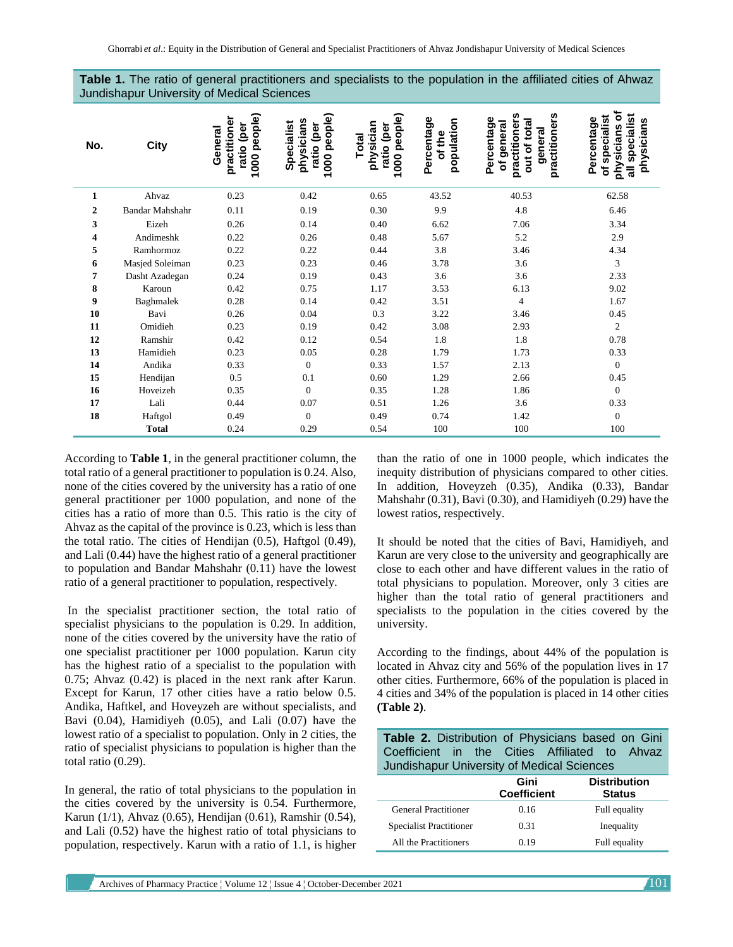| No.          | <b>City</b>     | people)<br>practitione<br>Ted<br>General<br>ratio<br>1000 | people)<br>physicians<br>Specialist<br>ratio (per<br>1000 | people)<br>physician<br>Ted)<br>Total<br>ratio<br>1000 | Percentage<br>population<br>of the | practitioners<br>practitioners<br>Percentage<br>of general<br>out of tota<br>genera | đ<br>specialist<br>5<br>Percentage<br>physicians<br>speciali<br>sicians<br><b>Ndo</b><br>៰<br>᠊ᢛ |
|--------------|-----------------|-----------------------------------------------------------|-----------------------------------------------------------|--------------------------------------------------------|------------------------------------|-------------------------------------------------------------------------------------|--------------------------------------------------------------------------------------------------|
| $\mathbf{1}$ | Ahvaz           | 0.23                                                      | 0.42                                                      | 0.65                                                   | 43.52                              | 40.53                                                                               | 62.58                                                                                            |
| $\mathbf{2}$ | Bandar Mahshahr | 0.11                                                      | 0.19                                                      | 0.30                                                   | 9.9                                | 4.8                                                                                 | 6.46                                                                                             |
| 3            | Eizeh           | 0.26                                                      | 0.14                                                      | 0.40                                                   | 6.62                               | 7.06                                                                                | 3.34                                                                                             |
| 4            | Andimeshk       | 0.22                                                      | 0.26                                                      | 0.48                                                   | 5.67                               | 5.2                                                                                 | 2.9                                                                                              |
| 5            | Ramhormoz       | 0.22                                                      | 0.22                                                      | 0.44                                                   | 3.8                                | 3.46                                                                                | 4.34                                                                                             |
| 6            | Masjed Soleiman | 0.23                                                      | 0.23                                                      | 0.46                                                   | 3.78                               | 3.6                                                                                 | 3                                                                                                |
| 7            | Dasht Azadegan  | 0.24                                                      | 0.19                                                      | 0.43                                                   | 3.6                                | 3.6                                                                                 | 2.33                                                                                             |
| 8            | Karoun          | 0.42                                                      | 0.75                                                      | 1.17                                                   | 3.53                               | 6.13                                                                                | 9.02                                                                                             |
| 9            | Baghmalek       | 0.28                                                      | 0.14                                                      | 0.42                                                   | 3.51                               | $\overline{4}$                                                                      | 1.67                                                                                             |
| 10           | Bavi            | 0.26                                                      | 0.04                                                      | 0.3                                                    | 3.22                               | 3.46                                                                                | 0.45                                                                                             |
| 11           | Omidieh         | 0.23                                                      | 0.19                                                      | 0.42                                                   | 3.08                               | 2.93                                                                                | 2                                                                                                |
| 12           | Ramshir         | 0.42                                                      | 0.12                                                      | 0.54                                                   | 1.8                                | 1.8                                                                                 | 0.78                                                                                             |
| 13           | Hamidieh        | 0.23                                                      | 0.05                                                      | 0.28                                                   | 1.79                               | 1.73                                                                                | 0.33                                                                                             |
| 14           | Andika          | 0.33                                                      | $\mathbf{0}$                                              | 0.33                                                   | 1.57                               | 2.13                                                                                | $\Omega$                                                                                         |
| 15           | Hendijan        | 0.5                                                       | 0.1                                                       | 0.60                                                   | 1.29                               | 2.66                                                                                | 0.45                                                                                             |
| 16           | Hoveizeh        | 0.35                                                      | $\overline{0}$                                            | 0.35                                                   | 1.28                               | 1.86                                                                                | $\Omega$                                                                                         |
| 17           | Lali            | 0.44                                                      | 0.07                                                      | 0.51                                                   | 1.26                               | 3.6                                                                                 | 0.33                                                                                             |
| 18           | Haftgol         | 0.49                                                      | $\overline{0}$                                            | 0.49                                                   | 0.74                               | 1.42                                                                                | $\mathbf{0}$                                                                                     |
|              | <b>Total</b>    | 0.24                                                      | 0.29                                                      | 0.54                                                   | 100                                | 100                                                                                 | 100                                                                                              |

**Table 1.** The ratio of general practitioners and specialists to the population in the affiliated cities of Ahwaz Jundishapur University of Medical Sciences

According to **Table 1**, in the general practitioner column, the total ratio of a general practitioner to population is 0.24. Also, none of the cities covered by the university has a ratio of one general practitioner per 1000 population, and none of the cities has a ratio of more than 0.5. This ratio is the city of Ahvaz as the capital of the province is 0.23, which is less than the total ratio. The cities of Hendijan (0.5), Haftgol (0.49), and Lali (0.44) have the highest ratio of a general practitioner to population and Bandar Mahshahr (0.11) have the lowest ratio of a general practitioner to population, respectively.

In the specialist practitioner section, the total ratio of specialist physicians to the population is 0.29. In addition, none of the cities covered by the university have the ratio of one specialist practitioner per 1000 population. Karun city has the highest ratio of a specialist to the population with 0.75; Ahvaz (0.42) is placed in the next rank after Karun. Except for Karun, 17 other cities have a ratio below 0.5. Andika, Haftkel, and Hoveyzeh are without specialists, and Bavi (0.04), Hamidiyeh (0.05), and Lali (0.07) have the lowest ratio of a specialist to population. Only in 2 cities, the ratio of specialist physicians to population is higher than the total ratio (0.29).

In general, the ratio of total physicians to the population in the cities covered by the university is 0.54. Furthermore, Karun (1/1), Ahvaz (0.65), Hendijan (0.61), Ramshir (0.54), and Lali (0.52) have the highest ratio of total physicians to population, respectively. Karun with a ratio of 1.1, is higher

than the ratio of one in 1000 people, which indicates the inequity distribution of physicians compared to other cities. In addition, Hoveyzeh (0.35), Andika (0.33), Bandar Mahshahr (0.31), Bavi (0.30), and Hamidiyeh (0.29) have the lowest ratios, respectively.

It should be noted that the cities of Bavi, Hamidiyeh, and Karun are very close to the university and geographically are close to each other and have different values in the ratio of total physicians to population. Moreover, only 3 cities are higher than the total ratio of general practitioners and specialists to the population in the cities covered by the university.

According to the findings, about 44% of the population is located in Ahvaz city and 56% of the population lives in 17 other cities. Furthermore, 66% of the population is placed in 4 cities and 34% of the population is placed in 14 other cities **(Table 2)**.

| Table 2. Distribution of Physicians based on Gini<br>Coefficient in the Cities Affiliated to Ahvaz<br>Jundishapur University of Medical Sciences |                            |                                      |  |  |  |  |  |  |
|--------------------------------------------------------------------------------------------------------------------------------------------------|----------------------------|--------------------------------------|--|--|--|--|--|--|
|                                                                                                                                                  | Gini<br><b>Coefficient</b> | <b>Distribution</b><br><b>Status</b> |  |  |  |  |  |  |
| <b>General Practitioner</b>                                                                                                                      | 0.16                       | Full equality                        |  |  |  |  |  |  |
| <b>Specialist Practitioner</b>                                                                                                                   | 0.31                       | Inequality                           |  |  |  |  |  |  |
| All the Practitioners                                                                                                                            | 0.19                       | Full equality                        |  |  |  |  |  |  |

Archives of Pharmacy Practice ¦ Volume 12 ¦ Issue 4 ¦ October-December 2021 101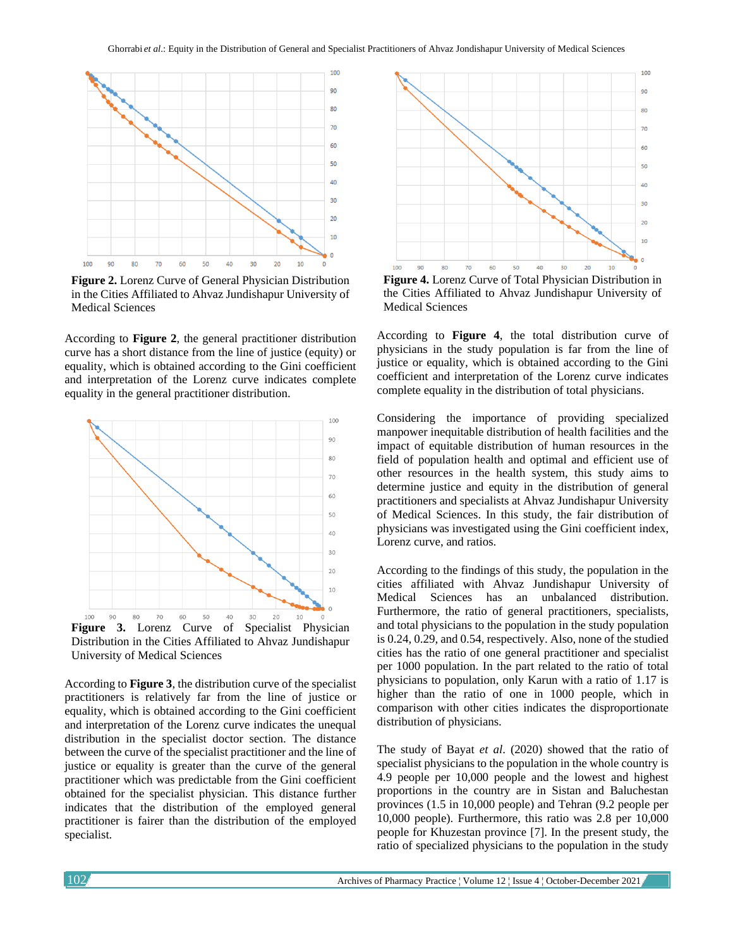

**Figure 2.** Lorenz Curve of General Physician Distribution in the Cities Affiliated to Ahvaz Jundishapur University of Medical Sciences

According to **Figure 2**, the general practitioner distribution curve has a short distance from the line of justice (equity) or equality, which is obtained according to the Gini coefficient and interpretation of the Lorenz curve indicates complete equality in the general practitioner distribution.



Distribution in the Cities Affiliated to Ahvaz Jundishapur University of Medical Sciences

According to **Figure 3**, the distribution curve of the specialist practitioners is relatively far from the line of justice or equality, which is obtained according to the Gini coefficient and interpretation of the Lorenz curve indicates the unequal distribution in the specialist doctor section. The distance between the curve of the specialist practitioner and the line of justice or equality is greater than the curve of the general practitioner which was predictable from the Gini coefficient obtained for the specialist physician. This distance further indicates that the distribution of the employed general practitioner is fairer than the distribution of the employed specialist.



**Figure 4.** Lorenz Curve of Total Physician Distribution in the Cities Affiliated to Ahvaz Jundishapur University of Medical Sciences

According to **Figure 4**, the total distribution curve of physicians in the study population is far from the line of justice or equality, which is obtained according to the Gini coefficient and interpretation of the Lorenz curve indicates complete equality in the distribution of total physicians.

Considering the importance of providing specialized manpower inequitable distribution of health facilities and the impact of equitable distribution of human resources in the field of population health and optimal and efficient use of other resources in the health system, this study aims to determine justice and equity in the distribution of general practitioners and specialists at Ahvaz Jundishapur University of Medical Sciences. In this study, the fair distribution of physicians was investigated using the Gini coefficient index, Lorenz curve, and ratios.

According to the findings of this study, the population in the cities affiliated with Ahvaz Jundishapur University of Medical Sciences has an unbalanced distribution. Furthermore, the ratio of general practitioners, specialists, and total physicians to the population in the study population is 0.24, 0.29, and 0.54, respectively. Also, none of the studied cities has the ratio of one general practitioner and specialist per 1000 population. In the part related to the ratio of total physicians to population, only Karun with a ratio of 1.17 is higher than the ratio of one in 1000 people, which in comparison with other cities indicates the disproportionate distribution of physicians.

The study of Bayat *et al*. (2020) showed that the ratio of specialist physicians to the population in the whole country is 4.9 people per 10,000 people and the lowest and highest proportions in the country are in Sistan and Baluchestan provinces (1.5 in 10,000 people) and Tehran (9.2 people per 10,000 people). Furthermore, this ratio was 2.8 per 10,000 people for Khuzestan province [7]. In the present study, the ratio of specialized physicians to the population in the study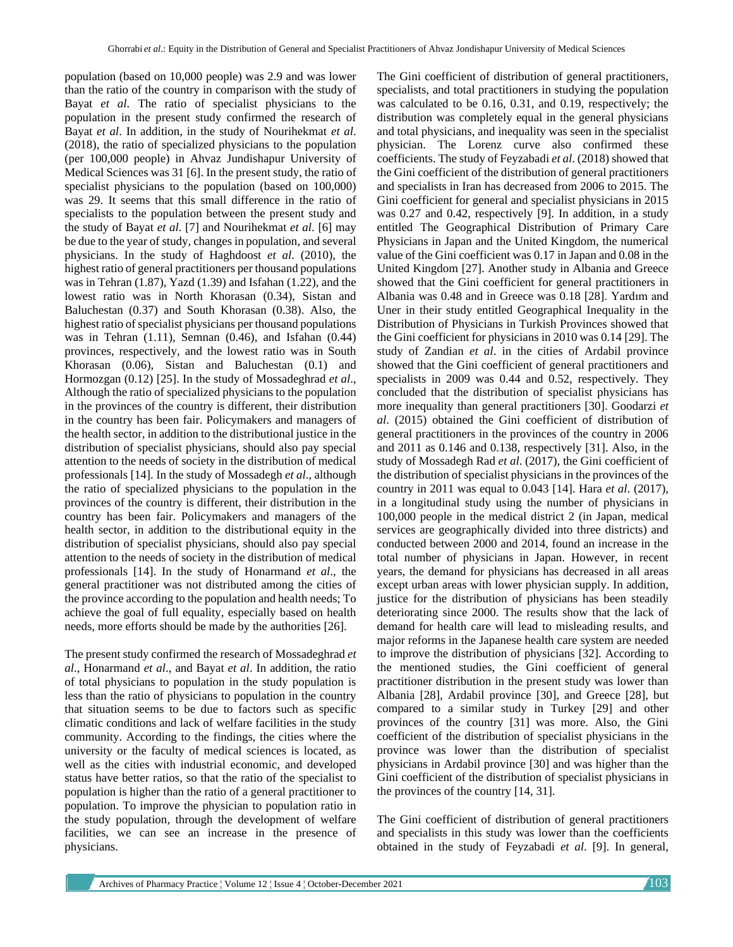population (based on 10,000 people) was 2.9 and was lower than the ratio of the country in comparison with the study of Bayat *et al*. The ratio of specialist physicians to the population in the present study confirmed the research of Bayat *et al*. In addition, in the study of Nourihekmat *et al*. (2018), the ratio of specialized physicians to the population (per 100,000 people) in Ahvaz Jundishapur University of Medical Sciences was 31 [6]. In the present study, the ratio of specialist physicians to the population (based on 100,000) was 29. It seems that this small difference in the ratio of specialists to the population between the present study and the study of Bayat *et al*. [7] and Nourihekmat *et al*. [6] may be due to the year of study, changes in population, and several physicians. In the study of Haghdoost *et al*. (2010), the highest ratio of general practitioners per thousand populations was in Tehran (1.87), Yazd (1.39) and Isfahan (1.22), and the lowest ratio was in North Khorasan (0.34), Sistan and Baluchestan (0.37) and South Khorasan (0.38). Also, the highest ratio of specialist physicians per thousand populations was in Tehran  $(1.11)$ , Semnan  $(0.46)$ , and Isfahan  $(0.44)$ provinces, respectively, and the lowest ratio was in South Khorasan (0.06), Sistan and Baluchestan (0.1) and Hormozgan (0.12) [25]. In the study of Mossadeghrad *et al*., Although the ratio of specialized physicians to the population in the provinces of the country is different, their distribution in the country has been fair. Policymakers and managers of the health sector, in addition to the distributional justice in the distribution of specialist physicians, should also pay special attention to the needs of society in the distribution of medical professionals [14]. In the study of Mossadegh *et al*., although the ratio of specialized physicians to the population in the provinces of the country is different, their distribution in the country has been fair. Policymakers and managers of the health sector, in addition to the distributional equity in the distribution of specialist physicians, should also pay special attention to the needs of society in the distribution of medical professionals [14]. In the study of Honarmand *et al*., the general practitioner was not distributed among the cities of the province according to the population and health needs; To achieve the goal of full equality, especially based on health needs, more efforts should be made by the authorities [26].

The present study confirmed the research of Mossadeghrad *et al*., Honarmand *et al*., and Bayat *et al*. In addition, the ratio of total physicians to population in the study population is less than the ratio of physicians to population in the country that situation seems to be due to factors such as specific climatic conditions and lack of welfare facilities in the study community. According to the findings, the cities where the university or the faculty of medical sciences is located, as well as the cities with industrial economic, and developed status have better ratios, so that the ratio of the specialist to population is higher than the ratio of a general practitioner to population. To improve the physician to population ratio in the study population, through the development of welfare facilities, we can see an increase in the presence of physicians.

The Gini coefficient of distribution of general practitioners, specialists, and total practitioners in studying the population was calculated to be 0.16, 0.31, and 0.19, respectively; the distribution was completely equal in the general physicians and total physicians, and inequality was seen in the specialist physician. The Lorenz curve also confirmed these coefficients. The study of Feyzabadi *et al*. (2018) showed that the Gini coefficient of the distribution of general practitioners and specialists in Iran has decreased from 2006 to 2015. The Gini coefficient for general and specialist physicians in 2015 was 0.27 and 0.42, respectively [9]. In addition, in a study entitled The Geographical Distribution of Primary Care Physicians in Japan and the United Kingdom, the numerical value of the Gini coefficient was 0.17 in Japan and 0.08 in the United Kingdom [27]. Another study in Albania and Greece showed that the Gini coefficient for general practitioners in Albania was 0.48 and in Greece was 0.18 [28]. Yardım and Uner in their study entitled Geographical Inequality in the Distribution of Physicians in Turkish Provinces showed that the Gini coefficient for physicians in 2010 was 0.14 [29]. The study of Zandian *et al*. in the cities of Ardabil province showed that the Gini coefficient of general practitioners and specialists in 2009 was 0.44 and 0.52, respectively. They concluded that the distribution of specialist physicians has more inequality than general practitioners [30]. Goodarzi *et al*. (2015) obtained the Gini coefficient of distribution of general practitioners in the provinces of the country in 2006 and 2011 as 0.146 and 0.138, respectively [31]. Also, in the study of Mossadegh Rad *et al*. (2017), the Gini coefficient of the distribution of specialist physicians in the provinces of the country in 2011 was equal to 0.043 [14]. Hara *et al*. (2017), in a longitudinal study using the number of physicians in 100,000 people in the medical district 2 (in Japan, medical services are geographically divided into three districts) and conducted between 2000 and 2014, found an increase in the total number of physicians in Japan. However, in recent years, the demand for physicians has decreased in all areas except urban areas with lower physician supply. In addition, justice for the distribution of physicians has been steadily deteriorating since 2000. The results show that the lack of demand for health care will lead to misleading results, and major reforms in the Japanese health care system are needed to improve the distribution of physicians [32]. According to the mentioned studies, the Gini coefficient of general practitioner distribution in the present study was lower than Albania [28], Ardabil province [30], and Greece [28], but compared to a similar study in Turkey [29] and other provinces of the country [31] was more. Also, the Gini coefficient of the distribution of specialist physicians in the province was lower than the distribution of specialist physicians in Ardabil province [30] and was higher than the Gini coefficient of the distribution of specialist physicians in the provinces of the country [14, 31].

The Gini coefficient of distribution of general practitioners and specialists in this study was lower than the coefficients obtained in the study of Feyzabadi *et al*. [9]. In general,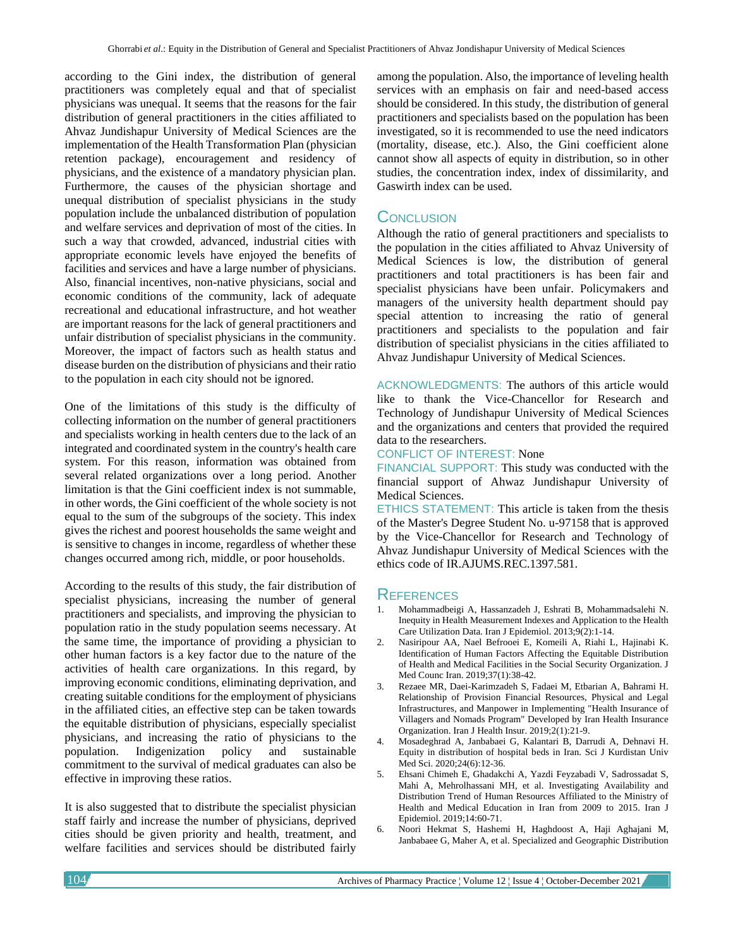according to the Gini index, the distribution of general practitioners was completely equal and that of specialist physicians was unequal. It seems that the reasons for the fair distribution of general practitioners in the cities affiliated to Ahvaz Jundishapur University of Medical Sciences are the implementation of the Health Transformation Plan (physician retention package), encouragement and residency of physicians, and the existence of a mandatory physician plan. Furthermore, the causes of the physician shortage and unequal distribution of specialist physicians in the study population include the unbalanced distribution of population and welfare services and deprivation of most of the cities. In such a way that crowded, advanced, industrial cities with appropriate economic levels have enjoyed the benefits of facilities and services and have a large number of physicians. Also, financial incentives, non-native physicians, social and economic conditions of the community, lack of adequate recreational and educational infrastructure, and hot weather are important reasons for the lack of general practitioners and unfair distribution of specialist physicians in the community. Moreover, the impact of factors such as health status and disease burden on the distribution of physicians and their ratio to the population in each city should not be ignored.

One of the limitations of this study is the difficulty of collecting information on the number of general practitioners and specialists working in health centers due to the lack of an integrated and coordinated system in the country's health care system. For this reason, information was obtained from several related organizations over a long period. Another limitation is that the Gini coefficient index is not summable, in other words, the Gini coefficient of the whole society is not equal to the sum of the subgroups of the society. This index gives the richest and poorest households the same weight and is sensitive to changes in income, regardless of whether these changes occurred among rich, middle, or poor households.

According to the results of this study, the fair distribution of specialist physicians, increasing the number of general practitioners and specialists, and improving the physician to population ratio in the study population seems necessary. At the same time, the importance of providing a physician to other human factors is a key factor due to the nature of the activities of health care organizations. In this regard, by improving economic conditions, eliminating deprivation, and creating suitable conditions for the employment of physicians in the affiliated cities, an effective step can be taken towards the equitable distribution of physicians, especially specialist physicians, and increasing the ratio of physicians to the population. Indigenization policy and sustainable commitment to the survival of medical graduates can also be effective in improving these ratios.

It is also suggested that to distribute the specialist physician staff fairly and increase the number of physicians, deprived cities should be given priority and health, treatment, and welfare facilities and services should be distributed fairly among the population. Also, the importance of leveling health services with an emphasis on fair and need-based access should be considered. In this study, the distribution of general practitioners and specialists based on the population has been investigated, so it is recommended to use the need indicators (mortality, disease, etc.). Also, the Gini coefficient alone cannot show all aspects of equity in distribution, so in other studies, the concentration index, index of dissimilarity, and Gaswirth index can be used.

## **CONCLUSION**

Although the ratio of general practitioners and specialists to the population in the cities affiliated to Ahvaz University of Medical Sciences is low, the distribution of general practitioners and total practitioners is has been fair and specialist physicians have been unfair. Policymakers and managers of the university health department should pay special attention to increasing the ratio of general practitioners and specialists to the population and fair distribution of specialist physicians in the cities affiliated to Ahvaz Jundishapur University of Medical Sciences.

ACKNOWLEDGMENTS: The authors of this article would like to thank the Vice-Chancellor for Research and Technology of Jundishapur University of Medical Sciences and the organizations and centers that provided the required data to the researchers.

#### CONFLICT OF INTEREST: None

FINANCIAL SUPPORT: This study was conducted with the financial support of Ahwaz Jundishapur University of Medical Sciences.

ETHICS STATEMENT: This article is taken from the thesis of the Master's Degree Student No. u-97158 that is approved by the Vice-Chancellor for Research and Technology of Ahvaz Jundishapur University of Medical Sciences with the ethics code of IR.AJUMS.REC.1397.581.

### **REFERENCES**

- 1. Mohammadbeigi A, Hassanzadeh J, Eshrati B, Mohammadsalehi N. Inequity in Health Measurement Indexes and Application to the Health Care Utilization Data. Iran J Epidemiol. 2013;9(2):1-14.
- 2. Nasiripour AA, Nael Befrooei E, Komeili A, Riahi L, Hajinabi K. Identification of Human Factors Affecting the Equitable Distribution of Health and Medical Facilities in the Social Security Organization. J Med Counc Iran. 2019;37(1):38-42.
- 3. Rezaee MR, Daei-Karimzadeh S, Fadaei M, Etbarian A, Bahrami H. Relationship of Provision Financial Resources, Physical and Legal Infrastructures, and Manpower in Implementing "Health Insurance of Villagers and Nomads Program" Developed by Iran Health Insurance Organization. Iran J Health Insur. 2019;2(1):21-9.
- 4. Mosadeghrad A, Janbabaei G, Kalantari B, Darrudi A, Dehnavi H. Equity in distribution of hospital beds in Iran. Sci J Kurdistan Univ Med Sci. 2020;24(6):12-36.
- 5. Ehsani Chimeh E, Ghadakchi A, Yazdi Feyzabadi V, Sadrossadat S, Mahi A, Mehrolhassani MH, et al. Investigating Availability and Distribution Trend of Human Resources Affiliated to the Ministry of Health and Medical Education in Iran from 2009 to 2015. Iran J Epidemiol. 2019;14:60-71.
- 6. Noori Hekmat S, Hashemi H, Haghdoost A, Haji Aghajani M, Janbabaee G, Maher A, et al. Specialized and Geographic Distribution